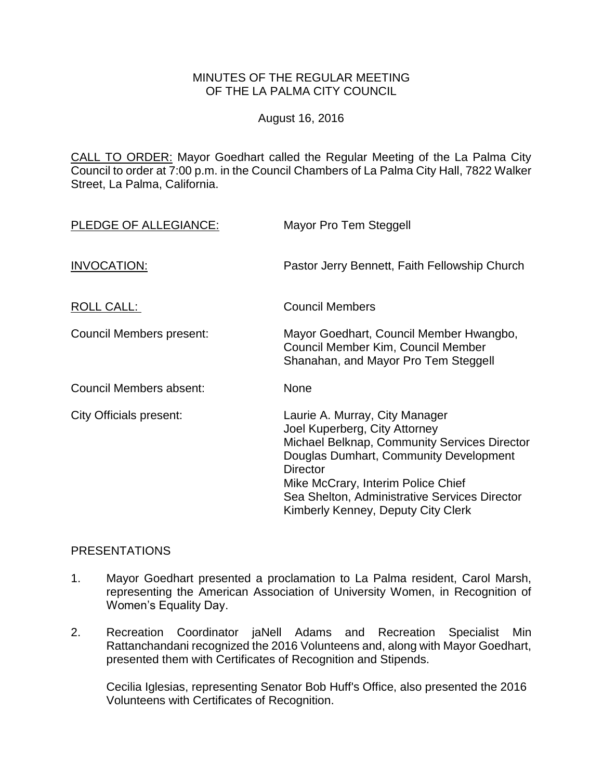## MINUTES OF THE REGULAR MEETING OF THE LA PALMA CITY COUNCIL

August 16, 2016

CALL TO ORDER: [Mayor Goedhart called the Regular Meeting of the La Palma City](http://lapalma.granicus.com/MediaPlayer.php?view_id=&clip_id=1029&meta_id=135629)  [Council to order at 7:00 p.m. in the Council Chambers of La Palma City Hall, 7822 Walker](http://lapalma.granicus.com/MediaPlayer.php?view_id=&clip_id=1029&meta_id=135629)  [Street, La Palma, California.](http://lapalma.granicus.com/MediaPlayer.php?view_id=&clip_id=1029&meta_id=135629)

| PLEDGE OF ALLEGIANCE:    | Mayor Pro Tem Steggell                                                                                                                                                                                                                                                                                           |
|--------------------------|------------------------------------------------------------------------------------------------------------------------------------------------------------------------------------------------------------------------------------------------------------------------------------------------------------------|
| INVOCATION:              | Pastor Jerry Bennett, Faith Fellowship Church                                                                                                                                                                                                                                                                    |
| <b>ROLL CALL:</b>        | <b>Council Members</b>                                                                                                                                                                                                                                                                                           |
| Council Members present: | Mayor Goedhart, Council Member Hwangbo,<br>Council Member Kim, Council Member<br>Shanahan, and Mayor Pro Tem Steggell                                                                                                                                                                                            |
| Council Members absent:  | None                                                                                                                                                                                                                                                                                                             |
| City Officials present:  | Laurie A. Murray, City Manager<br>Joel Kuperberg, City Attorney<br><b>Michael Belknap, Community Services Director</b><br>Douglas Dumhart, Community Development<br><b>Director</b><br>Mike McCrary, Interim Police Chief<br>Sea Shelton, Administrative Services Director<br>Kimberly Kenney, Deputy City Clerk |

## [PRESENTATIONS](http://lapalma.granicus.com/MediaPlayer.php?view_id=&clip_id=1029&meta_id=135633)

- 1. [Mayor Goedhart presented a proclamation to La Palma resident, Carol Marsh,](http://lapalma.granicus.com/MediaPlayer.php?view_id=&clip_id=1029&meta_id=135634)  [representing the American Association of University Women, in Recognition of](http://lapalma.granicus.com/MediaPlayer.php?view_id=&clip_id=1029&meta_id=135634)  [Women's Equality Day.](http://lapalma.granicus.com/MediaPlayer.php?view_id=&clip_id=1029&meta_id=135634)
- 2. [Recreation Coordinator jaNell Adams and Recreation Specialist Min](http://lapalma.granicus.com/MediaPlayer.php?view_id=&clip_id=1029&meta_id=135635)  [Rattanchandani recognized the 2016 Volunteens and, along with Mayor Goedhart,](http://lapalma.granicus.com/MediaPlayer.php?view_id=&clip_id=1029&meta_id=135635)  [presented them with Certificates of Recognition and Stipends.](http://lapalma.granicus.com/MediaPlayer.php?view_id=&clip_id=1029&meta_id=135635)

Cecilia Iglesias, representing Senator Bob Huff's Office, also presented the 2016 Volunteens with Certificates of Recognition.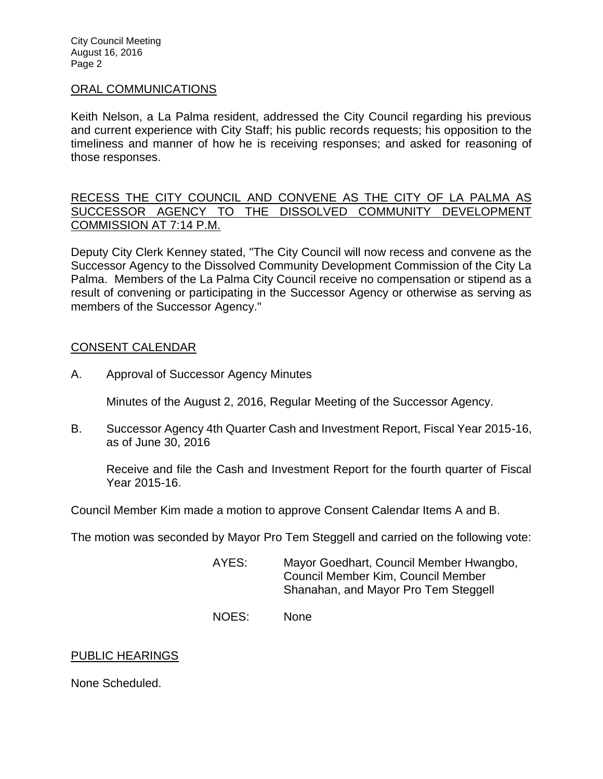City Council Meeting August 16, 2016 Page 2

#### [ORAL COMMUNICATIONS](http://lapalma.granicus.com/MediaPlayer.php?view_id=&clip_id=1029&meta_id=135637)

Keith Nelson, a La Palma resident, addressed the City Council regarding his previous and current experience with City Staff; his public records requests; his opposition to the timeliness and manner of how he is receiving responses; and asked for reasoning of those responses.

RECESS THE CITY COUNCIL AND [CONVENE AS THE CITY OF LA PALMA AS](http://lapalma.granicus.com/MediaPlayer.php?view_id=&clip_id=1029&meta_id=135639)  [SUCCESSOR AGENCY TO THE DISSOLVED COMMUNITY DEVELOPMENT](http://lapalma.granicus.com/MediaPlayer.php?view_id=&clip_id=1029&meta_id=135639)  [COMMISSION AT 7:14 P.M.](http://lapalma.granicus.com/MediaPlayer.php?view_id=&clip_id=1029&meta_id=135639)

[Deputy City Clerk Kenney stated, "The City Council will now recess and convene as the](http://lapalma.granicus.com/MediaPlayer.php?view_id=&clip_id=1029&meta_id=135640)  [Successor Agency to the Dissolved Community Development Commission of the City La](http://lapalma.granicus.com/MediaPlayer.php?view_id=&clip_id=1029&meta_id=135640)  Palma. [Members of the La Palma City Council receive no compensation or stipend as a](http://lapalma.granicus.com/MediaPlayer.php?view_id=&clip_id=1029&meta_id=135640)  [result of convening or participating in the Successor Agency or otherwise as serving as](http://lapalma.granicus.com/MediaPlayer.php?view_id=&clip_id=1029&meta_id=135640)  [members of the Successor Agency."](http://lapalma.granicus.com/MediaPlayer.php?view_id=&clip_id=1029&meta_id=135640)

### [CONSENT CALENDAR](http://lapalma.granicus.com/MediaPlayer.php?view_id=&clip_id=1029&meta_id=135641)

A. Approval of Successor Agency Minutes

Minutes of the August 2, 2016, Regular Meeting of the Successor Agency.

B. Successor Agency 4th Quarter Cash and Investment Report, Fiscal Year 2015-16, as of June 30, 2016

Receive and file the Cash and Investment Report for the fourth quarter of Fiscal Year 2015-16.

Council Member Kim made a motion to approve Consent Calendar Items A and B.

The motion was seconded by Mayor Pro Tem Steggell and carried on the following vote:

- AYES: Mayor Goedhart, Council Member Hwangbo, Council Member Kim, Council Member Shanahan, and Mayor Pro Tem Steggell
- NOES: None

## PUBLIC HEARINGS

None Scheduled.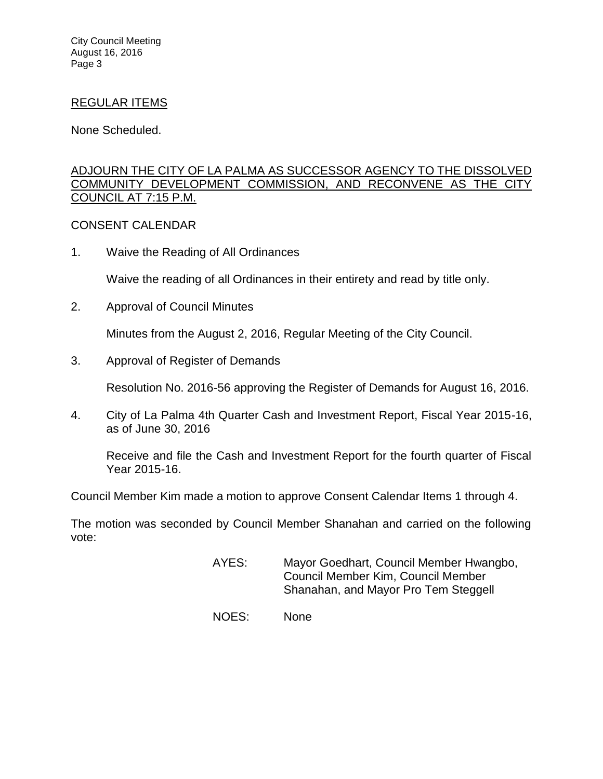City Council Meeting August 16, 2016 Page 3

#### REGULAR ITEMS

None Scheduled.

## [ADJOURN THE CITY OF LA PALMA AS SUCCESSOR AGENCY TO THE DISSOLVED](http://lapalma.granicus.com/MediaPlayer.php?view_id=&clip_id=1029&meta_id=135650)  [COMMUNITY DEVELOPMENT COMMISSION, AND RECONVENE AS THE CITY](http://lapalma.granicus.com/MediaPlayer.php?view_id=&clip_id=1029&meta_id=135650)  [COUNCIL AT 7:15 P.M.](http://lapalma.granicus.com/MediaPlayer.php?view_id=&clip_id=1029&meta_id=135650)

### [CONSENT CALENDAR](http://lapalma.granicus.com/MediaPlayer.php?view_id=&clip_id=1029&meta_id=135651)

1. Waive the Reading of All Ordinances

Waive the reading of all Ordinances in their entirety and read by title only.

2. Approval of Council Minutes

Minutes from the August 2, 2016, Regular Meeting of the City Council.

3. Approval of Register of Demands

Resolution No. 2016-56 approving the Register of Demands for August 16, 2016.

4. City of La Palma 4th Quarter Cash and Investment Report, Fiscal Year 2015-16, as of June 30, 2016

Receive and file the Cash and Investment Report for the fourth quarter of Fiscal Year 2015-16.

Council Member Kim made a motion to approve Consent Calendar Items 1 through 4.

The motion was seconded by Council Member Shanahan and carried on the following vote:

- AYES: Mayor Goedhart, Council Member Hwangbo, Council Member Kim, Council Member Shanahan, and Mayor Pro Tem Steggell
- NOES: None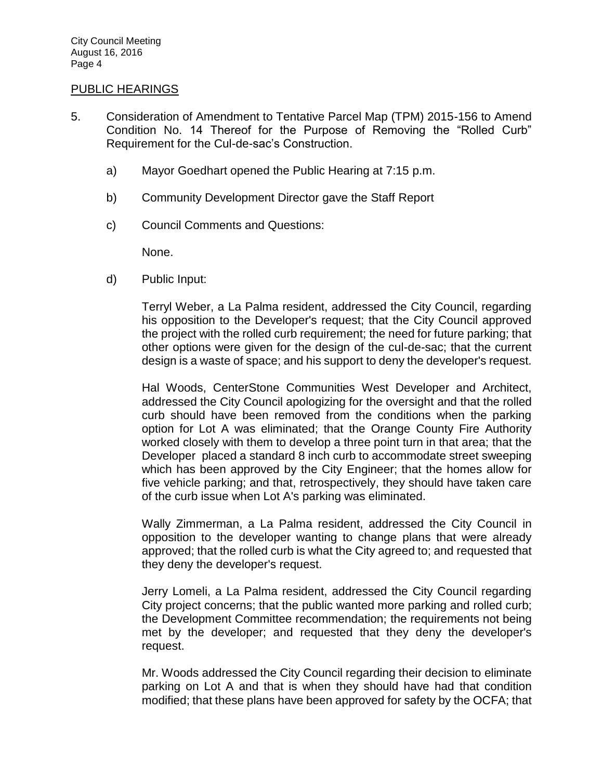#### PUBLIC HEARINGS

- 5. [Consideration of Amendment to Tentative Parcel Map \(TPM\) 2015-156 to Amend](http://lapalma.granicus.com/MediaPlayer.php?view_id=&clip_id=1029&meta_id=135660)  [Condition No. 14 Thereof for the Purpose of Removing the "Rolled Curb"](http://lapalma.granicus.com/MediaPlayer.php?view_id=&clip_id=1029&meta_id=135660)  [Requirement for the Cul-de-sac's Construction.](http://lapalma.granicus.com/MediaPlayer.php?view_id=&clip_id=1029&meta_id=135660)
	- a) [Mayor Goedhart opened the Public Hearing at 7:15 p.m.](http://lapalma.granicus.com/MediaPlayer.php?view_id=&clip_id=1029&meta_id=135661)
	- b) [Community Development Director gave the Staff Report](http://lapalma.granicus.com/MediaPlayer.php?view_id=&clip_id=1029&meta_id=135662)
	- c) [Council Comments and Questions:](http://lapalma.granicus.com/MediaPlayer.php?view_id=&clip_id=1029&meta_id=135663)

None.

d) [Public Input:](http://lapalma.granicus.com/MediaPlayer.php?view_id=&clip_id=1029&meta_id=135664)

Terryl Weber, a La Palma resident, addressed the City Council, regarding his opposition to the Developer's request; that the City Council approved the project with the rolled curb requirement; the need for future parking; that other options were given for the design of the cul-de-sac; that the current design is a waste of space; and his support to deny the developer's request.

Hal Woods, CenterStone Communities West Developer and Architect, addressed the City Council apologizing for the oversight and that the rolled curb should have been removed from the conditions when the parking option for Lot A was eliminated; that the Orange County Fire Authority worked closely with them to develop a three point turn in that area; that the Developer placed a standard 8 inch curb to accommodate street sweeping which has been approved by the City Engineer; that the homes allow for five vehicle parking; and that, retrospectively, they should have taken care of the curb issue when Lot A's parking was eliminated.

Wally Zimmerman, a La Palma resident, addressed the City Council in opposition to the developer wanting to change plans that were already approved; that the rolled curb is what the City agreed to; and requested that they deny the developer's request.

Jerry Lomeli, a La Palma resident, addressed the City Council regarding City project concerns; that the public wanted more parking and rolled curb; the Development Committee recommendation; the requirements not being met by the developer; and requested that they deny the developer's request.

Mr. Woods addressed the City Council regarding their decision to eliminate parking on Lot A and that is when they should have had that condition modified; that these plans have been approved for safety by the OCFA; that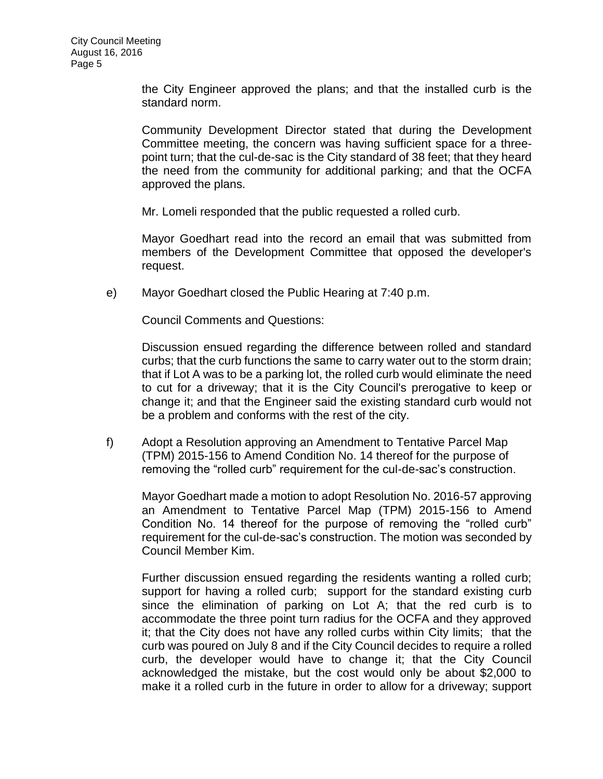the City Engineer approved the plans; and that the installed curb is the standard norm.

Community Development Director stated that during the Development Committee meeting, the concern was having sufficient space for a threepoint turn; that the cul-de-sac is the City standard of 38 feet; that they heard the need from the community for additional parking; and that the OCFA approved the plans.

Mr. Lomeli responded that the public requested a rolled curb.

Mayor Goedhart read into the record an email that was submitted from members of the Development Committee that opposed the developer's request.

e) [Mayor Goedhart closed the Public Hearing at 7:40 p.m.](http://lapalma.granicus.com/MediaPlayer.php?view_id=&clip_id=1029&meta_id=135675)

Council Comments and Questions:

Discussion ensued regarding the difference between rolled and standard curbs; that the curb functions the same to carry water out to the storm drain; that if Lot A was to be a parking lot, the rolled curb would eliminate the need to cut for a driveway; that it is the City Council's prerogative to keep or change it; and that the Engineer said the existing standard curb would not be a problem and conforms with the rest of the city.

f) Adopt a Resolution approving an Amendment to Tentative Parcel Map (TPM) 2015-156 to Amend Condition No. 14 thereof for the purpose of removing the "rolled curb" requirement for the cul-de-sac's construction.

Mayor Goedhart made a motion to adopt Resolution No. 2016-57 approving an Amendment to Tentative Parcel Map (TPM) 2015-156 to Amend Condition No. 14 thereof for the purpose of removing the "rolled curb" requirement for the cul-de-sac's construction. The motion was seconded by Council Member Kim.

Further discussion ensued regarding the residents wanting a rolled curb; support for having a rolled curb; support for the standard existing curb since the elimination of parking on Lot A; that the red curb is to accommodate the three point turn radius for the OCFA and they approved it; that the City does not have any rolled curbs within City limits; that the curb was poured on July 8 and if the City Council decides to require a rolled curb, the developer would have to change it; that the City Council acknowledged the mistake, but the cost would only be about \$2,000 to make it a rolled curb in the future in order to allow for a driveway; support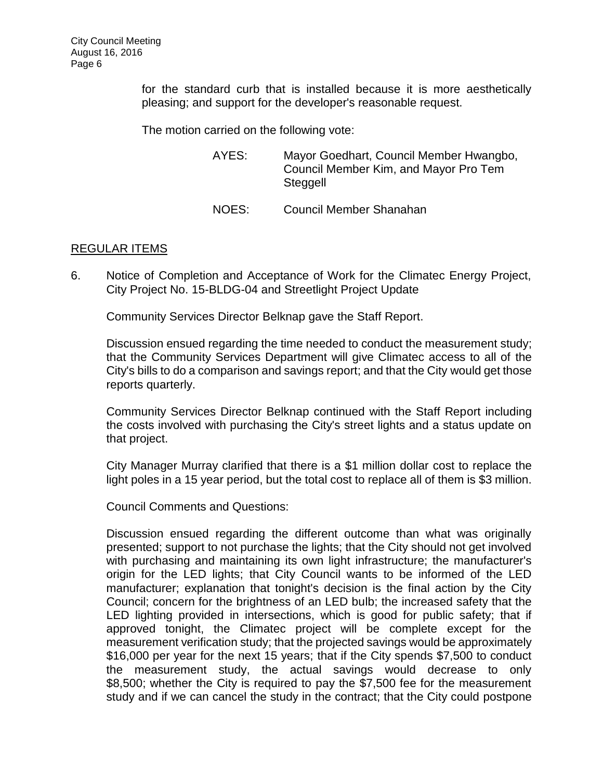for the standard curb that is installed because it is more aesthetically pleasing; and support for the developer's reasonable request.

The motion carried on the following vote:

| AYES: | Mayor Goedhart, Council Member Hwangbo, |
|-------|-----------------------------------------|
|       | Council Member Kim, and Mayor Pro Tem   |
|       | Steggell                                |

NOES: Council Member Shanahan

### REGULAR ITEMS

6. [Notice of Completion and Acceptance of Work for the Climatec Energy Project,](http://lapalma.granicus.com/MediaPlayer.php?view_id=&clip_id=1029&meta_id=135678)  [City Project No. 15-BLDG-04 and Streetlight Project Update](http://lapalma.granicus.com/MediaPlayer.php?view_id=&clip_id=1029&meta_id=135678)

Community Services Director Belknap gave the Staff Report.

Discussion ensued regarding the time needed to conduct the measurement study; that the Community Services Department will give Climatec access to all of the City's bills to do a comparison and savings report; and that the City would get those reports quarterly.

Community Services Director Belknap continued with the Staff Report including the costs involved with purchasing the City's street lights and a status update on that project.

City Manager Murray clarified that there is a \$1 million dollar cost to replace the light poles in a 15 year period, but the total cost to replace all of them is \$3 million.

Council Comments and Questions:

Discussion ensued regarding the different outcome than what was originally presented; support to not purchase the lights; that the City should not get involved with purchasing and maintaining its own light infrastructure; the manufacturer's origin for the LED lights; that City Council wants to be informed of the LED manufacturer; explanation that tonight's decision is the final action by the City Council; concern for the brightness of an LED bulb; the increased safety that the LED lighting provided in intersections, which is good for public safety; that if approved tonight, the Climatec project will be complete except for the measurement verification study; that the projected savings would be approximately \$16,000 per year for the next 15 years; that if the City spends \$7,500 to conduct the measurement study, the actual savings would decrease to only \$8,500; whether the City is required to pay the \$7,500 fee for the measurement study and if we can cancel the study in the contract; that the City could postpone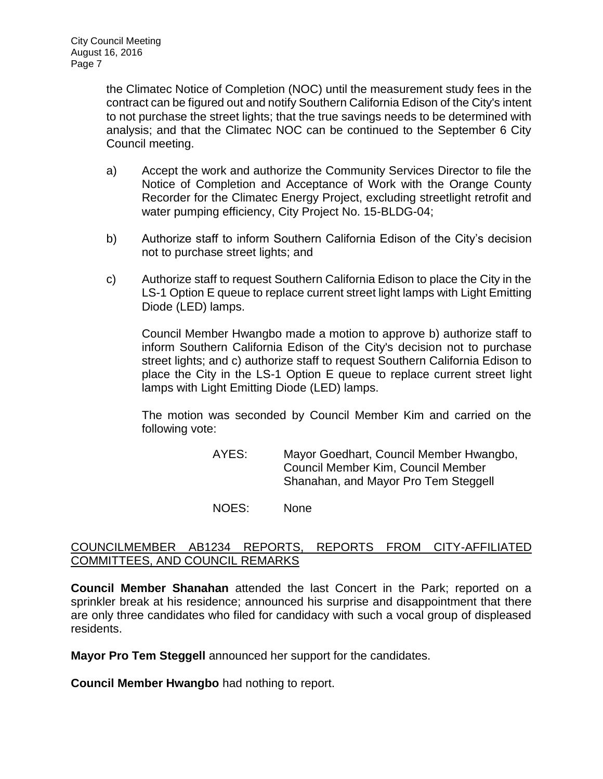the Climatec Notice of Completion (NOC) until the measurement study fees in the contract can be figured out and notify Southern California Edison of the City's intent to not purchase the street lights; that the true savings needs to be determined with analysis; and that the Climatec NOC can be continued to the September 6 City Council meeting.

- a) Accept the work and authorize the Community Services Director to file the Notice of Completion and Acceptance of Work with the Orange County Recorder for the Climatec Energy Project, excluding streetlight retrofit and water pumping efficiency, City Project No. 15-BLDG-04;
- b) Authorize staff to inform Southern California Edison of the City's decision not to purchase street lights; and
- c) Authorize staff to request Southern California Edison to place the City in the LS-1 Option E queue to replace current street light lamps with Light Emitting Diode (LED) lamps.

Council Member Hwangbo made a motion to approve b) authorize staff to inform Southern California Edison of the City's decision not to purchase street lights; and c) authorize staff to request Southern California Edison to place the City in the LS-1 Option E queue to replace current street light lamps with Light Emitting Diode (LED) lamps.

The motion was seconded by Council Member Kim and carried on the following vote:

> AYES: Mayor Goedhart, Council Member Hwangbo, Council Member Kim, Council Member Shanahan, and Mayor Pro Tem Steggell

NOES: None

# [COUNCILMEMBER AB1234 REPORTS, REPORTS FROM CITY-AFFILIATED](http://lapalma.granicus.com/MediaPlayer.php?view_id=&clip_id=1029&meta_id=135687)  [COMMITTEES, AND COUNCIL REMARKS](http://lapalma.granicus.com/MediaPlayer.php?view_id=&clip_id=1029&meta_id=135687)

**Council Member Shanahan** attended the last Concert in the Park; reported on a sprinkler break at his residence; announced his surprise and disappointment that there are only three candidates who filed for candidacy with such a vocal group of displeased residents.

**Mayor Pro Tem Steggell** announced her support for the candidates.

**Council Member Hwangbo** had nothing to report.